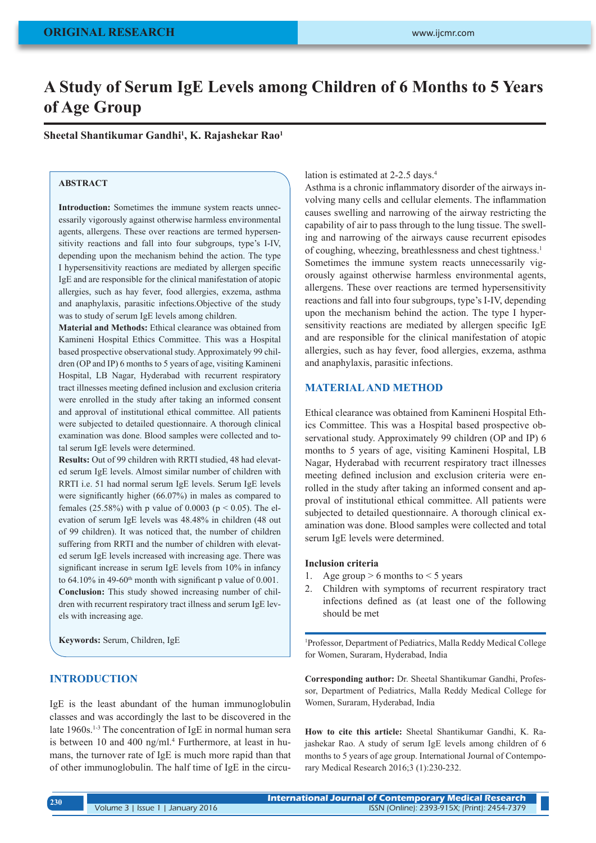# **A Study of Serum IgE Levels among Children of 6 Months to 5 Years of Age Group**

**Sheetal Shantikumar Gandhi1 , K. Rajashekar Rao1**

# **ABSTRACT**

**Introduction:** Sometimes the immune system reacts unnecessarily vigorously against otherwise harmless environmental agents, allergens. These over reactions are termed hypersensitivity reactions and fall into four subgroups, type's I-IV, depending upon the mechanism behind the action. The type I hypersensitivity reactions are mediated by allergen specific IgE and are responsible for the clinical manifestation of atopic allergies, such as hay fever, food allergies, exzema, asthma and anaphylaxis, parasitic infections.Objective of the study was to study of serum IgE levels among children.

**Material and Methods:** Ethical clearance was obtained from Kamineni Hospital Ethics Committee. This was a Hospital based prospective observational study. Approximately 99 children (OP and IP) 6 months to 5 years of age, visiting Kamineni Hospital, LB Nagar, Hyderabad with recurrent respiratory tract illnesses meeting defined inclusion and exclusion criteria were enrolled in the study after taking an informed consent and approval of institutional ethical committee. All patients were subjected to detailed questionnaire. A thorough clinical examination was done. Blood samples were collected and total serum IgE levels were determined.

**Results:** Out of 99 children with RRTI studied, 48 had elevated serum IgE levels. Almost similar number of children with RRTI i.e. 51 had normal serum IgE levels. Serum IgE levels were significantly higher (66.07%) in males as compared to females (25.58%) with p value of 0.0003 ( $p < 0.05$ ). The elevation of serum IgE levels was 48.48% in children (48 out of 99 children). It was noticed that, the number of children suffering from RRTI and the number of children with elevated serum IgE levels increased with increasing age. There was significant increase in serum IgE levels from 10% in infancy to  $64.10\%$  in  $49-60$ <sup>th</sup> month with significant p value of  $0.001$ . **Conclusion:** This study showed increasing number of children with recurrent respiratory tract illness and serum IgE levels with increasing age.

**Keywords:** Serum, Children, IgE

## **INTRODUCTION**

IgE is the least abundant of the human immunoglobulin classes and was accordingly the last to be discovered in the late 1960s.<sup>1-3</sup> The concentration of IgE in normal human sera is between 10 and 400 ng/ml.<sup>4</sup> Furthermore, at least in humans, the turnover rate of IgE is much more rapid than that of other immunoglobulin. The half time of IgE in the circu-

### lation is estimated at 2-2.5 days.<sup>4</sup>

Asthma is a chronic inflammatory disorder of the airways involving many cells and cellular elements. The inflammation causes swelling and narrowing of the airway restricting the capability of air to pass through to the lung tissue. The swelling and narrowing of the airways cause recurrent episodes of coughing, wheezing, breathlessness and chest tightness.1 Sometimes the immune system reacts unnecessarily vigorously against otherwise harmless environmental agents, allergens. These over reactions are termed hypersensitivity reactions and fall into four subgroups, type's I-IV, depending upon the mechanism behind the action. The type I hypersensitivity reactions are mediated by allergen specific IgE and are responsible for the clinical manifestation of atopic allergies, such as hay fever, food allergies, exzema, asthma and anaphylaxis, parasitic infections.

# **MATERIAL AND METHOD**

Ethical clearance was obtained from Kamineni Hospital Ethics Committee. This was a Hospital based prospective observational study. Approximately 99 children (OP and IP) 6 months to 5 years of age, visiting Kamineni Hospital, LB Nagar, Hyderabad with recurrent respiratory tract illnesses meeting defined inclusion and exclusion criteria were enrolled in the study after taking an informed consent and approval of institutional ethical committee. All patients were subjected to detailed questionnaire. A thorough clinical examination was done. Blood samples were collected and total serum IgE levels were determined.

#### **Inclusion criteria**

- 1. Age group  $> 6$  months to  $< 5$  years
- 2. Children with symptoms of recurrent respiratory tract infections defined as (at least one of the following should be met

1 Professor, Department of Pediatrics, Malla Reddy Medical College for Women, Suraram, Hyderabad, India

**Corresponding author:** Dr. Sheetal Shantikumar Gandhi, Professor, Department of Pediatrics, Malla Reddy Medical College for Women, Suraram, Hyderabad, India

**How to cite this article:** Sheetal Shantikumar Gandhi, K. Rajashekar Rao. A study of serum IgE levels among children of 6 months to 5 years of age group. International Journal of Contemporary Medical Research 2016;3 (1):230-232.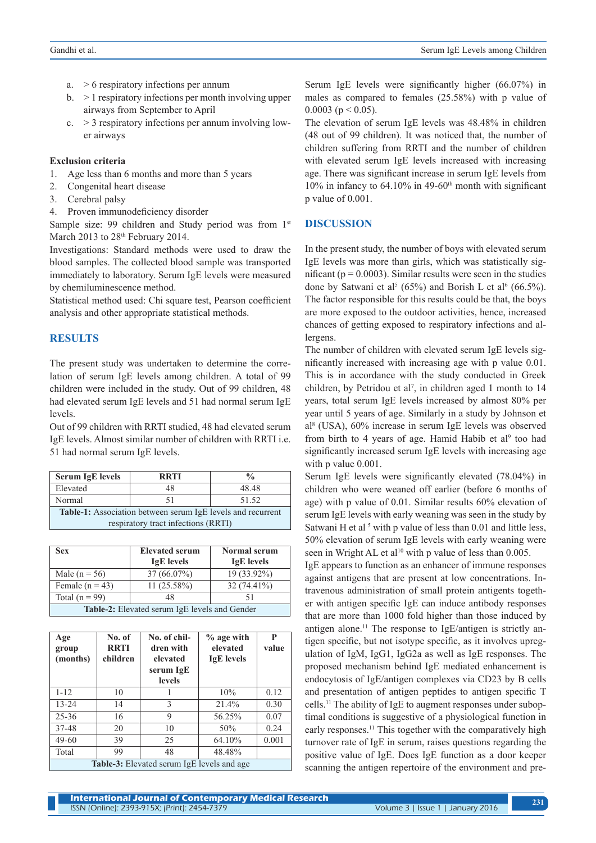- a.  $> 6$  respiratory infections per annum
- b. > 1 respiratory infections per month involving upper airways from September to April
- c.  $> 3$  respiratory infections per annum involving lower airways

## **Exclusion criteria**

- 1. Age less than 6 months and more than 5 years
- 2. Congenital heart disease
- 3. Cerebral palsy
- 4. Proven immunodeficiency disorder

Sample size: 99 children and Study period was from 1<sup>st</sup> March 2013 to 28<sup>th</sup> February 2014.

Investigations: Standard methods were used to draw the blood samples. The collected blood sample was transported immediately to laboratory. Serum IgE levels were measured by chemiluminescence method.

Statistical method used: Chi square test, Pearson coefficient analysis and other appropriate statistical methods.

# **RESULTS**

The present study was undertaken to determine the correlation of serum IgE levels among children. A total of 99 children were included in the study. Out of 99 children, 48 had elevated serum IgE levels and 51 had normal serum IgE levels.

Out of 99 children with RRTI studied, 48 had elevated serum IgE levels. Almost similar number of children with RRTI i.e. 51 had normal serum IgE levels.

| <b>Serum IgE levels</b>                                            | <b>RRTI</b> | $\frac{0}{\alpha}$ |  |  |  |
|--------------------------------------------------------------------|-------------|--------------------|--|--|--|
| Elevated                                                           | 48          | 48.48              |  |  |  |
| Normal                                                             |             | 51.52              |  |  |  |
| <b>Table-1:</b> Association between serum IgE levels and recurrent |             |                    |  |  |  |
| respiratory tract infections (RRTI)                                |             |                    |  |  |  |

| Sex                                                  | <b>Elevated serum</b><br><b>IgE</b> levels | <b>Normal serum</b><br><b>IgE</b> levels |  |  |
|------------------------------------------------------|--------------------------------------------|------------------------------------------|--|--|
| Male ( $n = 56$ )                                    | $37(66.07\%)$                              | 19 (33.92%)                              |  |  |
| Female $(n = 43)$                                    | $11(25.58\%)$                              | $32(74.41\%)$                            |  |  |
| Total ( $n = 99$ )                                   | 48                                         | 51                                       |  |  |
| <b>Table-2:</b> Elevated serum IgE levels and Gender |                                            |                                          |  |  |

| Age<br>group<br>(months)                          | No. of<br><b>RRTI</b><br>children | No. of chil-<br>dren with<br>elevated<br>serum IgE<br><b>levels</b> | $%$ age with<br>elevated<br><b>IgE</b> levels | P<br>value |  |
|---------------------------------------------------|-----------------------------------|---------------------------------------------------------------------|-----------------------------------------------|------------|--|
| $1 - 12$                                          | 10                                |                                                                     | 10%                                           | 0.12       |  |
| $13 - 24$                                         | 14                                | 3                                                                   | 21.4%                                         | 0.30       |  |
| $25 - 36$                                         | 16                                | 9                                                                   | 56.25%                                        | 0.07       |  |
| 37-48                                             | 20                                | 10                                                                  | 50%                                           | 0.24       |  |
| $49-60$                                           | 39                                | 25                                                                  | 64.10%                                        | 0.001      |  |
| Total                                             | 99                                | 48                                                                  | 48.48%                                        |            |  |
| <b>Table-3:</b> Elevated serum IgE levels and age |                                   |                                                                     |                                               |            |  |

Serum IgE levels were significantly higher (66.07%) in males as compared to females (25.58%) with p value of 0.0003 ( $p < 0.05$ ).

The elevation of serum IgE levels was 48.48% in children (48 out of 99 children). It was noticed that, the number of children suffering from RRTI and the number of children with elevated serum IgE levels increased with increasing age. There was significant increase in serum IgE levels from  $10\%$  in infancy to 64.10% in 49-60<sup>th</sup> month with significant p value of 0.001.

# **DISCUSSION**

In the present study, the number of boys with elevated serum IgE levels was more than girls, which was statistically significant ( $p = 0.0003$ ). Similar results were seen in the studies done by Satwani et al<sup>5</sup> (65%) and Borish L et al<sup>6</sup> (66.5%). The factor responsible for this results could be that, the boys are more exposed to the outdoor activities, hence, increased chances of getting exposed to respiratory infections and allergens.

The number of children with elevated serum IgE levels significantly increased with increasing age with p value 0.01. This is in accordance with the study conducted in Greek children, by Petridou et al<sup>7</sup>, in children aged 1 month to  $14$ years, total serum IgE levels increased by almost 80% per year until 5 years of age. Similarly in a study by Johnson et al8 (USA), 60% increase in serum IgE levels was observed from birth to 4 years of age. Hamid Habib et al<sup>9</sup> too had significantly increased serum IgE levels with increasing age with p value 0.001.

Serum IgE levels were significantly elevated (78.04%) in children who were weaned off earlier (before 6 months of age) with p value of 0.01. Similar results 60% elevation of serum IgE levels with early weaning was seen in the study by Satwani H et al  $5$  with p value of less than 0.01 and little less, 50% elevation of serum IgE levels with early weaning were seen in Wright AL et al<sup>10</sup> with p value of less than 0.005.

IgE appears to function as an enhancer of immune responses against antigens that are present at low concentrations. Intravenous administration of small protein antigents together with antigen specific IgE can induce antibody responses that are more than 1000 fold higher than those induced by antigen alone.<sup>11</sup> The response to IgE/antigen is strictly antigen specific, but not isotype specific, as it involves upregulation of IgM, IgG1, IgG2a as well as IgE responses. The proposed mechanism behind IgE mediated enhancement is endocytosis of IgE/antigen complexes via CD23 by B cells and presentation of antigen peptides to antigen specific T cells.11 The ability of IgE to augment responses under suboptimal conditions is suggestive of a physiological function in early responses.<sup>11</sup> This together with the comparatively high turnover rate of IgE in serum, raises questions regarding the positive value of IgE. Does IgE function as a door keeper scanning the antigen repertoire of the environment and pre